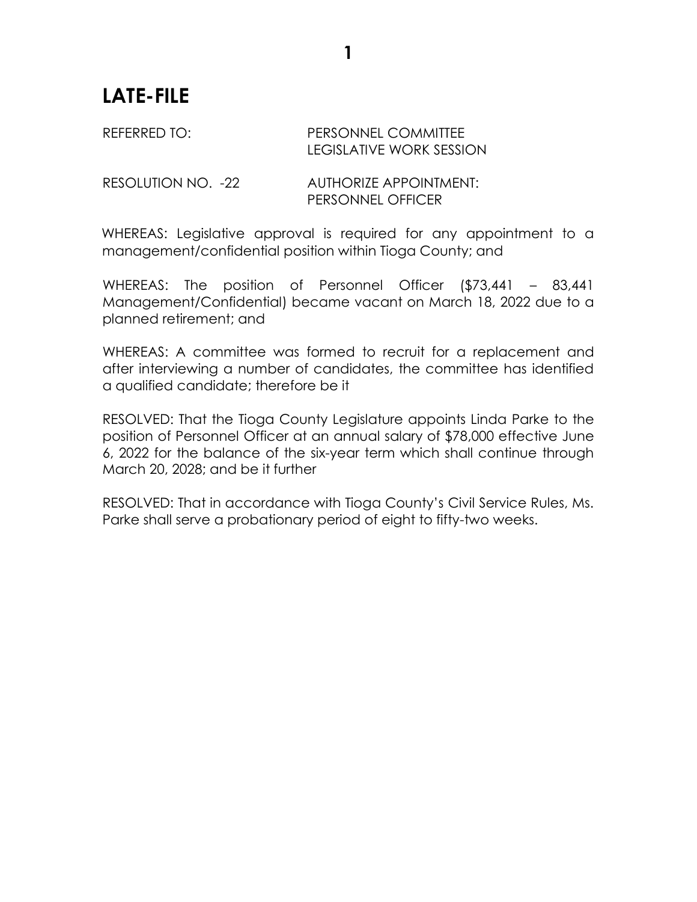## **LATE-FILE**

## REFERRED TO: PERSONNEL COMMITTEE LEGISLATIVE WORK SESSION

RESOLUTION NO. -22 AUTHORIZE APPOINTMENT: PERSONNEL OFFICER

WHEREAS: Legislative approval is required for any appointment to a management/confidential position within Tioga County; and

WHEREAS: The position of Personnel Officer (\$73,441 – 83,441 Management/Confidential) became vacant on March 18, 2022 due to a planned retirement; and

WHEREAS: A committee was formed to recruit for a replacement and after interviewing a number of candidates, the committee has identified a qualified candidate; therefore be it

RESOLVED: That the Tioga County Legislature appoints Linda Parke to the position of Personnel Officer at an annual salary of \$78,000 effective June 6, 2022 for the balance of the six-year term which shall continue through March 20, 2028; and be it further

RESOLVED: That in accordance with Tioga County's Civil Service Rules, Ms. Parke shall serve a probationary period of eight to fifty-two weeks.